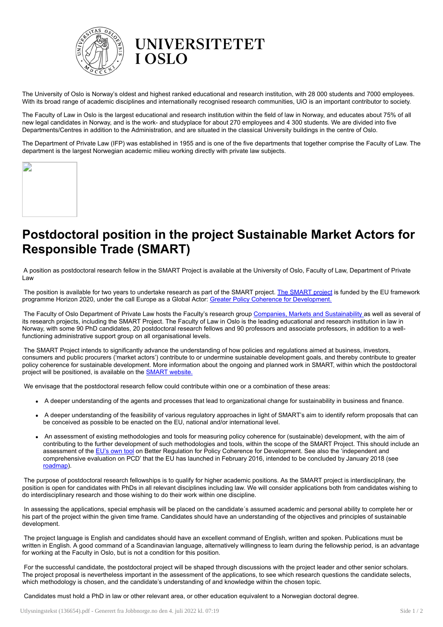

## **UNIVERSITETET I OSLO**

The University of Oslo is Norway's oldest and highest ranked educational and research institution, with 28 000 students and 7000 employees. With its broad range of academic disciplines and internationally recognised research communities, UiO is an important contributor to society.

The Faculty of Law in Oslo is the largest educational and research institution within the field of law in Norway, and educates about 75% of all new legal candidates in Norway, and is the work- and studyplace for about 270 employees and 4 300 students. We are divided into five Departments/Centres in addition to the Administration, and are situated in the classical University buildings in the centre of Oslo.

The Department of Private Law (IFP) was established in 1955 and is one of the five departments that together comprise the Faculty of Law. The department is the largest Norwegian academic milieu working directly with private law subjects.

| z |  |
|---|--|
|   |  |
|   |  |
|   |  |
|   |  |
|   |  |
|   |  |
|   |  |
|   |  |
|   |  |

# Postdoctoral position in the project Sustainable Market Actors for Responsible Trade (SMART)

A position as postdoctoral research fellow in the SMART Project is available at the University of Oslo, Faculty of Law, Department of Private Law

The position is available for two years to undertake research as part of the SMART project. The [SMART](http://www.smart.uio.no/) project is funded by the EU framework programme Horizon 2020, under the call Europe as a Global Actor: Greater Policy Coherence for [Development.](http://ec.europa.eu/europeaid/policies/policy-coherence-development_en)

The Faculty of Oslo Department of Private Law hosts the Faculty's research group Companies, Markets and [Sustainability](http://www.jus.uio.no/english/research/areas/companies/) as well as several of its research projects, including the SMART Project. The Faculty of Law in Oslo is the leading educational and research institution in law in Norway, with some 90 PhD candidates, 20 postdoctoral research fellows and 90 professors and associate professors, in addition to a wellfunctioning administrative support group on all organisational levels.

The SMART Project intends to significantly advance the understanding of how policies and regulations aimed at business, investors, consumers and public procurers ('market actors') contribute to or undermine sustainable development goals, and thereby contribute to greater policy coherence for sustainable development. More information about the ongoing and planned work in SMART, within which the postdoctoral project will be positioned, is available on the **SMART** [website.](https://www.smart.uio.no/news/post-doc-position.html)

We envisage that the postdoctoral research fellow could contribute within one or a combination of these areas:

- A deeper understanding of the agents and processes that lead to organizational change for sustainability in business and finance.
- A deeper understanding of the feasibility of various regulatory approaches in light of SMART's aim to identify reform proposals that can be conceived as possible to be enacted on the EU, national and/or international level.
- An assessment of existing methodologies and tools for measuring policy coherence for (sustainable) development, with the aim of contributing to the further development of such methodologies and tools, within the scope of the SMART Project. This should include an assessment of the [EU's](http://ec.europa.eu/smart-regulation/guidelines/tool_30_en.htm) own tool on Better Regulation for Policy Coherence for Development. See also the 'independent and comprehensive evaluation on PCD' that the EU has launched in February 2016, intended to be concluded by January 2018 (see [roadmap](http://ec.europa.eu/smart-regulation/roadmaps/docs/2018_devco_001_evaluation_pcd_en.pdf)).

The purpose of postdoctoral research fellowships is to qualify for higher academic positions. As the SMART project is interdisciplinary, the position is open for candidates with PhDs in all relevant disciplines including law. We will consider applications both from candidates wishing to do interdisciplinary research and those wishing to do their work within one discipline.

In assessing the applications, special emphasis will be placed on the candidate´s assumed academic and personal ability to complete her or his part of the project within the given time frame. Candidates should have an understanding of the objectives and principles of sustainable development.

The project language is English and candidates should have an excellent command of English, written and spoken. Publications must be written in English. A good command of a Scandinavian language, alternatively willingness to learn during the fellowship period, is an advantage for working at the Faculty in Oslo, but is not a condition for this position.

For the successful candidate, the postdoctoral project will be shaped through discussions with the project leader and other senior scholars. The project proposal is nevertheless important in the assessment of the applications, to see which research questions the candidate selects, which methodology is chosen, and the candidate's understanding of and knowledge within the chosen topic.

Candidates must hold a PhD in law or other relevant area, or other education equivalent to a Norwegian doctoral degree.